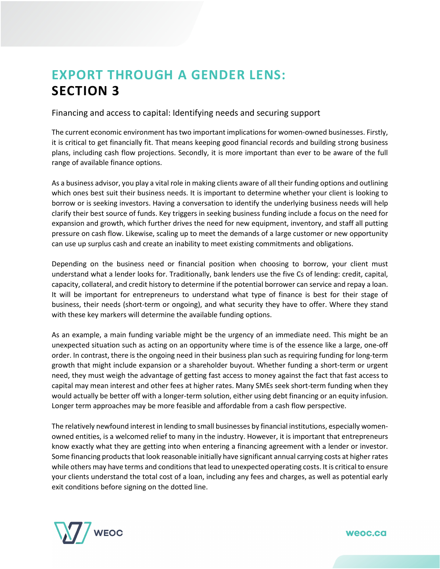## **EXPORT THROUGH A GENDER LENS: SECTION 3**

Financing and access to capital: Identifying needs and securing support

The current economic environment has two important implications for women-owned businesses. Firstly, it is critical to get financially fit. That means keeping good financial records and building strong business plans, including cash flow projections. Secondly, it is more important than ever to be aware of the full range of available finance options.

As a business advisor, you play a vital role in making clients aware of all their funding options and outlining which ones best suit their business needs. It is important to determine whether your client is looking to borrow or is seeking investors. Having a conversation to identify the underlying business needs will help clarify their best source of funds. Key triggers in seeking business funding include a focus on the need for expansion and growth, which further drives the need for new equipment, inventory, and staff all putting pressure on cash flow. Likewise, scaling up to meet the demands of a large customer or new opportunity can use up surplus cash and create an inability to meet existing commitments and obligations.

Depending on the business need or financial position when choosing to borrow, your client must understand what a lender looks for. Traditionally, bank lenders use the five Cs of lending: credit, capital, capacity, collateral, and credit history to determine if the potential borrower can service and repay a loan. It will be important for entrepreneurs to understand what type of finance is best for their stage of business, their needs (short-term or ongoing), and what security they have to offer. Where they stand with these key markers will determine the available funding options.

As an example, a main funding variable might be the urgency of an immediate need. This might be an unexpected situation such as acting on an opportunity where time is of the essence like a large, one-off order. In contrast, there is the ongoing need in their business plan such as requiring funding for long-term growth that might include expansion or a shareholder buyout. Whether funding a short-term or urgent need, they must weigh the advantage of getting fast access to money against the fact that fast access to capital may mean interest and other fees at higher rates. Many SMEs seek short-term funding when they would actually be better off with a longer-term solution, either using debt financing or an equity infusion. Longer term approaches may be more feasible and affordable from a cash flow perspective.

The relatively newfound interest in lending to small businesses by financial institutions, especially womenowned entities, is a welcomed relief to many in the industry. However, it is important that entrepreneurs know exactly what they are getting into when entering a financing agreement with a lender or investor. Some financing products that look reasonable initially have significant annual carrying costs at higher rates while others may have terms and conditions that lead to unexpected operating costs. It is critical to ensure your clients understand the total cost of a loan, including any fees and charges, as well as potential early exit conditions before signing on the dotted line.

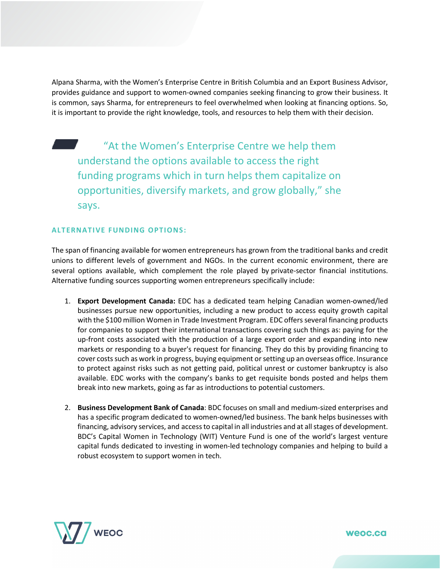Alpana Sharma, with the Women's Enterprise Centre in British Columbia and an Export Business Advisor, provides guidance and support to women-owned companies seeking financing to grow their business. It is common, says Sharma, for entrepreneurs to feel overwhelmed when looking at financing options. So, it is important to provide the right knowledge, tools, and resources to help them with their decision.

"At the Women's Enterprise Centre we help them understand the options available to access the right funding programs which in turn helps them capitalize on opportunities, diversify markets, and grow globally," she says.

## **ALTERNATIVE FUNDING OPTIONS:**

The span of financing available for women entrepreneurs has grown from the traditional banks and credit unions to different levels of government and NGOs. In the current economic environment, there are several options available, which complement the role played by private-sector financial institutions. Alternative funding sources supporting women entrepreneurs specifically include:

- 1. **Export Development Canada:** EDC has a dedicated team helping Canadian women-owned/led businesses pursue new opportunities, including a new product to access equity growth capital with the \$100 million Women in Trade Investment Program. EDC offers several financing products for companies to support their international transactions covering such things as: paying for the up-front costs associated with the production of a large export order and expanding into new markets or responding to a buyer's request for financing. They do this by providing financing to cover costs such as work in progress, buying equipment or setting up an overseas office. Insurance to protect against risks such as not getting paid, political unrest or customer bankruptcy is also available. EDC works with the company's banks to get requisite bonds posted and helps them break into new markets, going as far as introductions to potential customers.
- 2. **Business Development Bank of Canada**: BDC focuses on small and medium-sized enterprises and has a specific program dedicated to women-owned/led business. The bank helps businesses with financing, advisory services, and access to capital in all industries and at all stages of development. BDC's Capital Women in Technology (WIT) Venture Fund is one of the world's largest venture capital funds dedicated to investing in women-led technology companies and helping to build a robust ecosystem to support women in tech.

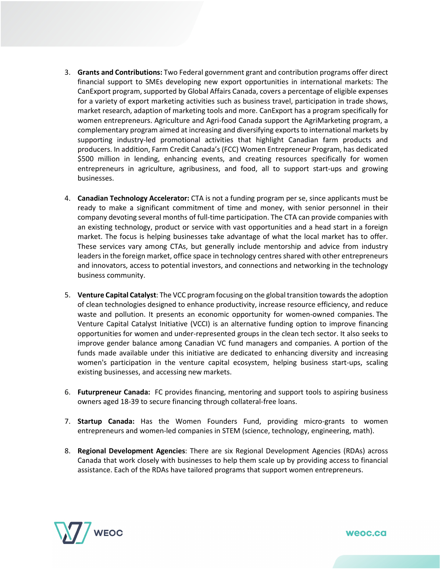- 3. **Grants and Contributions:** Two Federal government grant and contribution programs offer direct financial support to SMEs developing new export opportunities in international markets: The CanExport program, supported by Global Affairs Canada, covers a percentage of eligible expenses for a variety of export marketing activities such as business travel, participation in trade shows, market research, adaption of marketing tools and more. CanExport has a program specifically for women entrepreneurs. Agriculture and Agri-food Canada support the AgriMarketing program, a complementary program aimed at increasing and diversifying exports to international markets by supporting industry-led promotional activities that highlight Canadian farm products and producers. In addition, Farm Credit Canada's (FCC) Women Entrepreneur Program, has dedicated \$500 million in lending, enhancing events, and creating resources specifically for women entrepreneurs in agriculture, agribusiness, and food, all to support start-ups and growing businesses.
- 4. **Canadian Technology Accelerator:** CTA is not a funding program per se, since applicants must be ready to make a significant commitment of time and money, with senior personnel in their company devoting several months of full-time participation. The CTA can provide companies with an existing technology, product or service with vast opportunities and a head start in a foreign market. The focus is helping businesses take advantage of what the local market has to offer. These services vary among CTAs, but generally include mentorship and advice from industry leaders in the foreign market, office space in technology centres shared with other entrepreneurs and innovators, access to potential investors, and connections and networking in the technology business community.
- 5. **Venture Capital Catalyst**: The VCC program focusing on the global transition towards the adoption of clean technologies designed to enhance productivity, increase resource efficiency, and reduce waste and pollution. It presents an economic opportunity for women-owned companies. The Venture Capital Catalyst Initiative (VCCI) is an alternative funding option to improve financing opportunities for women and under-represented groups in the clean tech sector. It also seeks to improve gender balance among Canadian VC fund managers and companies. A portion of the funds made available under this initiative are dedicated to enhancing diversity and increasing women's participation in the venture capital ecosystem, helping business start-ups, scaling existing businesses, and accessing new markets.
- 6. **Futurpreneur Canada:** FC provides financing, mentoring and support tools to aspiring business owners aged 18-39 to secure financing through collateral-free loans.
- 7. **Startup Canada:** Has the Women Founders Fund, providing micro-grants to women entrepreneurs and women-led companies in STEM (science, technology, engineering, math).
- 8. **Regional Development Agencies**: There are six Regional Development Agencies (RDAs) across Canada that work closely with businesses to help them scale up by providing access to financial assistance. Each of the RDAs have tailored programs that support women entrepreneurs.